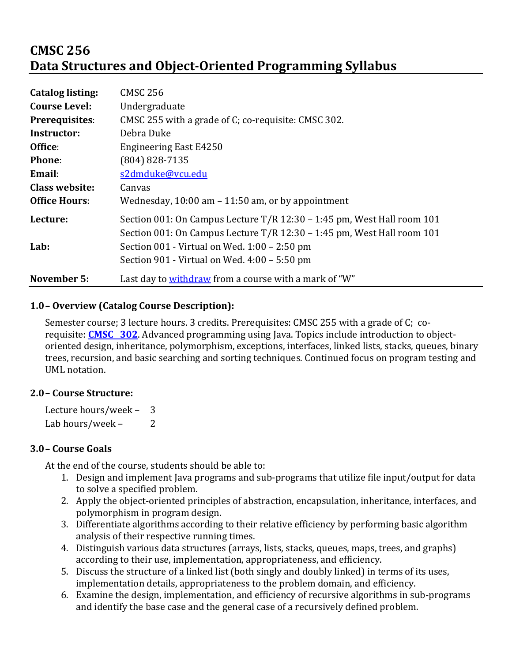# **CMSC 256 Data Structures and Object-Oriented Programming Syllabus**

| <b>Catalog listing:</b> | <b>CMSC 256</b>                                                        |  |
|-------------------------|------------------------------------------------------------------------|--|
| <b>Course Level:</b>    | Undergraduate                                                          |  |
| Prerequisites:          | CMSC 255 with a grade of C; co-requisite: CMSC 302.                    |  |
| Instructor:             | Debra Duke                                                             |  |
| Office:                 | <b>Engineering East E4250</b>                                          |  |
| <b>Phone:</b>           | (804) 828-7135                                                         |  |
| Email:                  | s2dmduke@vcu.edu                                                       |  |
| <b>Class website:</b>   | Canvas                                                                 |  |
| <b>Office Hours:</b>    | Wednesday, $10:00$ am $-11:50$ am, or by appointment                   |  |
| Lecture:                | Section 001: On Campus Lecture T/R 12:30 – 1:45 pm, West Hall room 101 |  |
|                         | Section 001: On Campus Lecture T/R 12:30 - 1:45 pm, West Hall room 101 |  |
| Lab:                    | Section 001 - Virtual on Wed. 1:00 - 2:50 pm                           |  |
|                         | Section 901 - Virtual on Wed. 4:00 - 5:50 pm                           |  |
| <b>November 5:</b>      | Last day to withdraw from a course with a mark of "W"                  |  |

## **1.0– Overview (Catalog Course Description):**

Semester course; 3 lecture hours. 3 credits. Prerequisites: CMSC 255 with a grade of C; corequisite: **CMSC** 302. Advanced programming using Java. Topics include introduction to objectoriented design, inheritance, polymorphism, exceptions, interfaces, linked lists, stacks, queues, binary trees, recursion, and basic searching and sorting techniques. Continued focus on program testing and UML notation.

### **2.0– Course Structure:**

Lecture hours/week  $-$  3 Lab hours/week - 2

### **3.0– Course Goals**

At the end of the course, students should be able to:

- 1. Design and implement Java programs and sub-programs that utilize file input/output for data to solve a specified problem.
- 2. Apply the object-oriented principles of abstraction, encapsulation, inheritance, interfaces, and polymorphism in program design.
- 3. Differentiate algorithms according to their relative efficiency by performing basic algorithm analysis of their respective running times.
- 4. Distinguish various data structures (arrays, lists, stacks, queues, maps, trees, and graphs) according to their use, implementation, appropriateness, and efficiency.
- 5. Discuss the structure of a linked list (both singly and doubly linked) in terms of its uses, implementation details, appropriateness to the problem domain, and efficiency.
- 6. Examine the design, implementation, and efficiency of recursive algorithms in sub-programs and identify the base case and the general case of a recursively defined problem.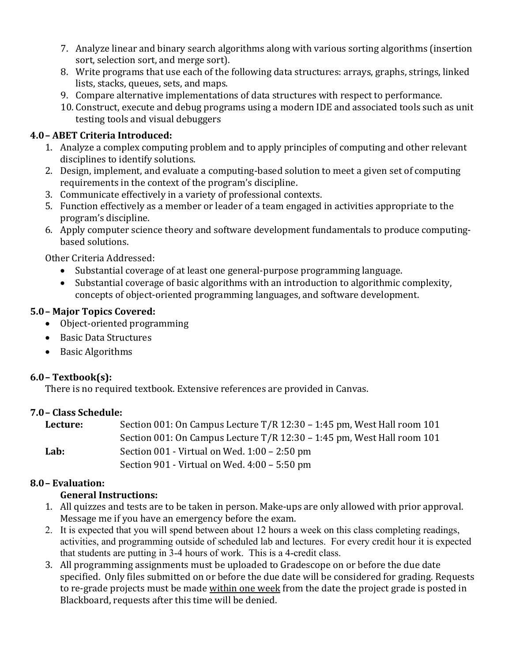- 7. Analyze linear and binary search algorithms along with various sorting algorithms (insertion sort, selection sort, and merge sort).
- 8. Write programs that use each of the following data structures: arrays, graphs, strings, linked lists, stacks, queues, sets, and maps.
- 9. Compare alternative implementations of data structures with respect to performance.
- 10. Construct, execute and debug programs using a modern IDE and associated tools such as unit testing tools and visual debuggers

# **4.0– ABET Criteria Introduced:**

- 1. Analyze a complex computing problem and to apply principles of computing and other relevant disciplines to identify solutions.
- 2. Design, implement, and evaluate a computing-based solution to meet a given set of computing requirements in the context of the program's discipline.
- 3. Communicate effectively in a variety of professional contexts.
- 5. Function effectively as a member or leader of a team engaged in activities appropriate to the program's discipline.
- 6. Apply computer science theory and software development fundamentals to produce computingbased solutions.

Other Criteria Addressed:

- Substantial coverage of at least one general-purpose programming language.
- Substantial coverage of basic algorithms with an introduction to algorithmic complexity, concepts of object-oriented programming languages, and software development.

## **5.0– Major Topics Covered:**

- Object-oriented programming
- Basic Data Structures
- Basic Algorithms

### **6.0– Textbook(s):**

There is no required textbook. Extensive references are provided in Canvas.

### **7.0– Class Schedule:**

| Lecture: | Section 001: On Campus Lecture T/R 12:30 - 1:45 pm, West Hall room 101   |
|----------|--------------------------------------------------------------------------|
|          | Section 001: On Campus Lecture $T/R$ 12:30 – 1:45 pm, West Hall room 101 |
| Lab:     | Section $001$ - Virtual on Wed. $1:00 - 2:50$ pm                         |
|          | Section 901 - Virtual on Wed. $4:00 - 5:50$ pm                           |

# **8.0– Evaluation:**

# **General Instructions:**

- 1. All quizzes and tests are to be taken in person. Make-ups are only allowed with prior approval. Message me if you have an emergency before the exam.
- 2. It is expected that you will spend between about 12 hours a week on this class completing readings, activities, and programming outside of scheduled lab and lectures. For every credit hour it is expected that students are putting in 3-4 hours of work. This is a 4-credit class.
- 3. All programming assignments must be uploaded to Gradescope on or before the due date specified. Only files submitted on or before the due date will be considered for grading. Requests to re-grade projects must be made within one week from the date the project grade is posted in Blackboard, requests after this time will be denied.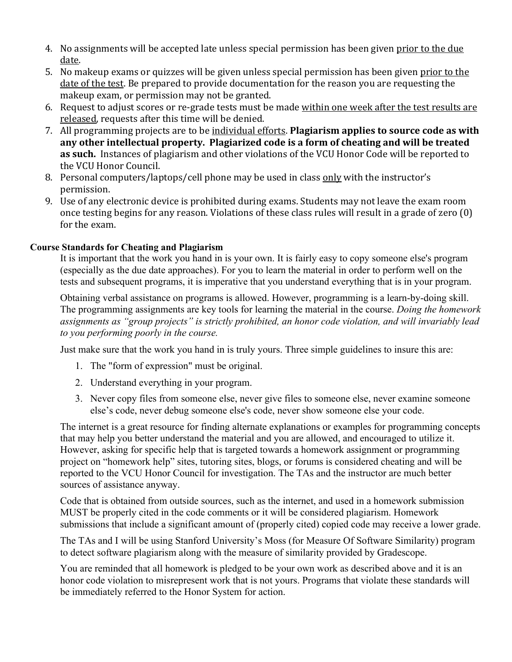- 4. No assignments will be accepted late unless special permission has been given prior to the due date.
- 5. No makeup exams or quizzes will be given unless special permission has been given prior to the date of the test. Be prepared to provide documentation for the reason you are requesting the makeup exam, or permission may not be granted.
- 6. Request to adjust scores or re-grade tests must be made within one week after the test results are released, requests after this time will be denied.
- 7. All programming projects are to be individual efforts. **Plagiarism applies to source code as with** any other intellectual property. Plagiarized code is a form of cheating and will be treated **as such.** Instances of plagiarism and other violations of the VCU Honor Code will be reported to the VCU Honor Council.
- 8. Personal computers/laptops/cell phone may be used in class only with the instructor's permission.
- 9. Use of any electronic device is prohibited during exams. Students may not leave the exam room once testing begins for any reason. Violations of these class rules will result in a grade of zero  $(0)$ for the exam.

#### **Course Standards for Cheating and Plagiarism**

It is important that the work you hand in is your own. It is fairly easy to copy someone else's program (especially as the due date approaches). For you to learn the material in order to perform well on the tests and subsequent programs, it is imperative that you understand everything that is in your program.

Obtaining verbal assistance on programs is allowed. However, programming is a learn-by-doing skill. The programming assignments are key tools for learning the material in the course. *Doing the homework assignments as "group projects" is strictly prohibited, an honor code violation, and will invariably lead to you performing poorly in the course.* 

Just make sure that the work you hand in is truly yours. Three simple guidelines to insure this are:

- 1. The "form of expression" must be original.
- 2. Understand everything in your program.
- 3. Never copy files from someone else, never give files to someone else, never examine someone else's code, never debug someone else's code, never show someone else your code.

The internet is a great resource for finding alternate explanations or examples for programming concepts that may help you better understand the material and you are allowed, and encouraged to utilize it. However, asking for specific help that is targeted towards a homework assignment or programming project on "homework help" sites, tutoring sites, blogs, or forums is considered cheating and will be reported to the VCU Honor Council for investigation. The TAs and the instructor are much better sources of assistance anyway.

Code that is obtained from outside sources, such as the internet, and used in a homework submission MUST be properly cited in the code comments or it will be considered plagiarism. Homework submissions that include a significant amount of (properly cited) copied code may receive a lower grade.

The TAs and I will be using Stanford University's Moss (for Measure Of Software Similarity) program to detect software plagiarism along with the measure of similarity provided by Gradescope.

You are reminded that all homework is pledged to be your own work as described above and it is an honor code violation to misrepresent work that is not yours. Programs that violate these standards will be immediately referred to the Honor System for action.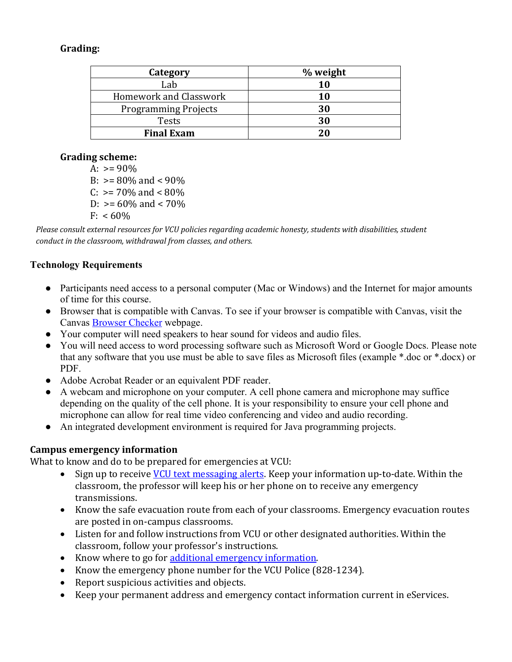### **Grading:**

| Category                    | % weight |
|-----------------------------|----------|
| Lab                         | 10       |
| Homework and Classwork      | 10       |
| <b>Programming Projects</b> | 30       |
| Tests                       | 30       |
| <b>Final Exam</b>           | 20       |

#### **Grading scheme:**

A:  $> = 90\%$ B:  $> = 80\%$  and  $< 90\%$  $C: \geq 70\%$  and  $\lt 80\%$  $D: \geq 60\%$  and < 70%  $F: < 60\%$ 

Please consult external resources for VCU policies regarding academic honesty, students with disabilities, student *conduct in the classroom, withdrawal from classes, and others.* 

### **Technology Requirements**

- Participants need access to a personal computer (Mac or Windows) and the Internet for major amounts of time for this course.
- Browser that is compatible with Canvas. To see if your browser is compatible with Canvas, visit the Canvas Browser Checker webpage.
- Your computer will need speakers to hear sound for videos and audio files.
- You will need access to word processing software such as Microsoft Word or Google Docs. Please note that any software that you use must be able to save files as Microsoft files (example \*.doc or \*.docx) or PDF.
- Adobe Acrobat Reader or an equivalent PDF reader.
- A webcam and microphone on your computer. A cell phone camera and microphone may suffice depending on the quality of the cell phone. It is your responsibility to ensure your cell phone and microphone can allow for real time video conferencing and video and audio recording.
- An integrated development environment is required for Java programming projects.

#### **Campus emergency information**

What to know and do to be prepared for emergencies at VCU:

- Sign up to receive VCU text messaging alerts. Keep your information up-to-date. Within the classroom, the professor will keep his or her phone on to receive any emergency transmissions.
- Know the safe evacuation route from each of your classrooms. Emergency evacuation routes are posted in on-campus classrooms.
- Listen for and follow instructions from VCU or other designated authorities. Within the classroom, follow your professor's instructions.
- Know where to go for additional emergency information.
- Know the emergency phone number for the VCU Police (828-1234).
- Report suspicious activities and objects.
- Keep your permanent address and emergency contact information current in eServices.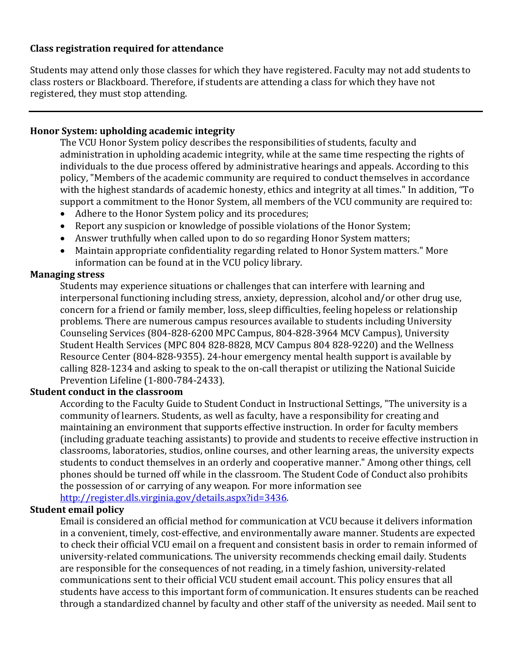#### **Class registration required for attendance**

Students may attend only those classes for which they have registered. Faculty may not add students to class rosters or Blackboard. Therefore, if students are attending a class for which they have not registered, they must stop attending.

#### **Honor System: upholding academic integrity**

The VCU Honor System policy describes the responsibilities of students, faculty and administration in upholding academic integrity, while at the same time respecting the rights of individuals to the due process offered by administrative hearings and appeals. According to this policy, "Members of the academic community are required to conduct themselves in accordance with the highest standards of academic honesty, ethics and integrity at all times." In addition, "To support a commitment to the Honor System, all members of the VCU community are required to:

- Adhere to the Honor System policy and its procedures;
- Report any suspicion or knowledge of possible violations of the Honor System;
- Answer truthfully when called upon to do so regarding Honor System matters;
- Maintain appropriate confidentiality regarding related to Honor System matters." More information can be found at in the VCU policy library.

#### **Managing stress**

Students may experience situations or challenges that can interfere with learning and interpersonal functioning including stress, anxiety, depression, alcohol and/or other drug use, concern for a friend or family member, loss, sleep difficulties, feeling hopeless or relationship problems. There are numerous campus resources available to students including University Counseling Services (804-828-6200 MPC Campus, 804-828-3964 MCV Campus), University Student Health Services (MPC 804 828-8828, MCV Campus 804 828-9220) and the Wellness Resource Center (804-828-9355). 24-hour emergency mental health support is available by calling 828-1234 and asking to speak to the on-call therapist or utilizing the National Suicide Prevention Lifeline (1-800-784-2433).

#### **Student conduct in the classroom**

According to the Faculty Guide to Student Conduct in Instructional Settings, "The university is a community of learners. Students, as well as faculty, have a responsibility for creating and maintaining an environment that supports effective instruction. In order for faculty members (including graduate teaching assistants) to provide and students to receive effective instruction in classrooms, laboratories, studios, online courses, and other learning areas, the university expects students to conduct themselves in an orderly and cooperative manner." Among other things, cell phones should be turned off while in the classroom. The Student Code of Conduct also prohibits the possession of or carrying of any weapon. For more information see http://register.dls.virginia.gov/details.aspx?id=3436.

#### **Student email policy**

Email is considered an official method for communication at VCU because it delivers information in a convenient, timely, cost-effective, and environmentally aware manner. Students are expected to check their official VCU email on a frequent and consistent basis in order to remain informed of university-related communications. The university recommends checking email daily. Students are responsible for the consequences of not reading, in a timely fashion, university-related communications sent to their official VCU student email account. This policy ensures that all students have access to this important form of communication. It ensures students can be reached through a standardized channel by faculty and other staff of the university as needed. Mail sent to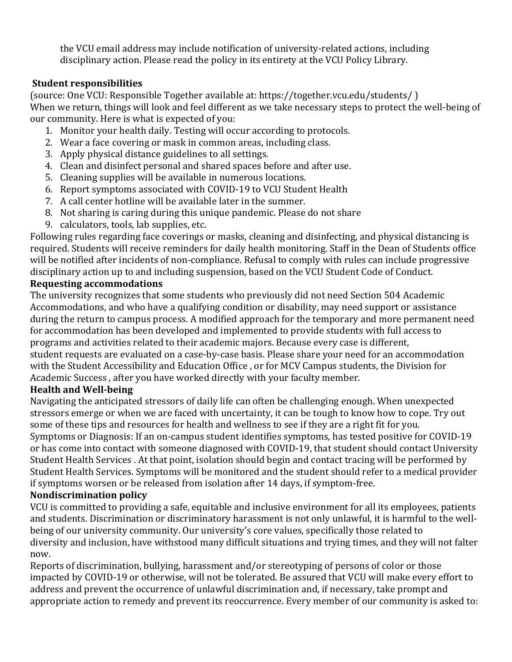the VCU email address may include notification of university-related actions, including disciplinary action. Please read the policy in its entirety at the VCU Policy Library.

### **Student responsibilities**

(source: One VCU: Responsible Together available at: https://together.vcu.edu/students/) When we return, things will look and feel different as we take necessary steps to protect the well-being of our community. Here is what is expected of you:

- 1. Monitor your health daily. Testing will occur according to protocols.
- 2. Wear a face covering or mask in common areas, including class.
- 3. Apply physical distance guidelines to all settings.
- 4. Clean and disinfect personal and shared spaces before and after use.
- 5. Cleaning supplies will be available in numerous locations.
- 6. Report symptoms associated with COVID-19 to VCU Student Health
- 7. A call center hotline will be available later in the summer.
- 8. Not sharing is caring during this unique pandemic. Please do not share
- 9. calculators, tools, lab supplies, etc.

Following rules regarding face coverings or masks, cleaning and disinfecting, and physical distancing is required. Students will receive reminders for daily health monitoring. Staff in the Dean of Students office will be notified after incidents of non-compliance. Refusal to comply with rules can include progressive disciplinary action up to and including suspension, based on the VCU Student Code of Conduct.

## **Requesting accommodations**

The university recognizes that some students who previously did not need Section 504 Academic Accommodations, and who have a qualifying condition or disability, may need support or assistance during the return to campus process. A modified approach for the temporary and more permanent need for accommodation has been developed and implemented to provide students with full access to programs and activities related to their academic majors. Because every case is different, student requests are evaluated on a case-by-case basis. Please share your need for an accommodation with the Student Accessibility and Education Office, or for MCV Campus students, the Division for Academic Success, after you have worked directly with your faculty member.

# **Health and Well-being**

Navigating the anticipated stressors of daily life can often be challenging enough. When unexpected stressors emerge or when we are faced with uncertainty, it can be tough to know how to cope. Try out some of these tips and resources for health and wellness to see if they are a right fit for you. Symptoms or Diagnosis: If an on-campus student identifies symptoms, has tested positive for COVID-19 or has come into contact with someone diagnosed with COVID-19, that student should contact University Student Health Services . At that point, isolation should begin and contact tracing will be performed by Student Health Services. Symptoms will be monitored and the student should refer to a medical provider if symptoms worsen or be released from isolation after 14 days, if symptom-free.

# **Nondiscrimination policy**

VCU is committed to providing a safe, equitable and inclusive environment for all its employees, patients and students. Discrimination or discriminatory harassment is not only unlawful, it is harmful to the wellbeing of our university community. Our university's core values, specifically those related to diversity and inclusion, have withstood many difficult situations and trying times, and they will not falter now.

Reports of discrimination, bullying, harassment and/or stereotyping of persons of color or those impacted by COVID-19 or otherwise, will not be tolerated. Be assured that VCU will make every effort to address and prevent the occurrence of unlawful discrimination and, if necessary, take prompt and appropriate action to remedy and prevent its reoccurrence. Every member of our community is asked to: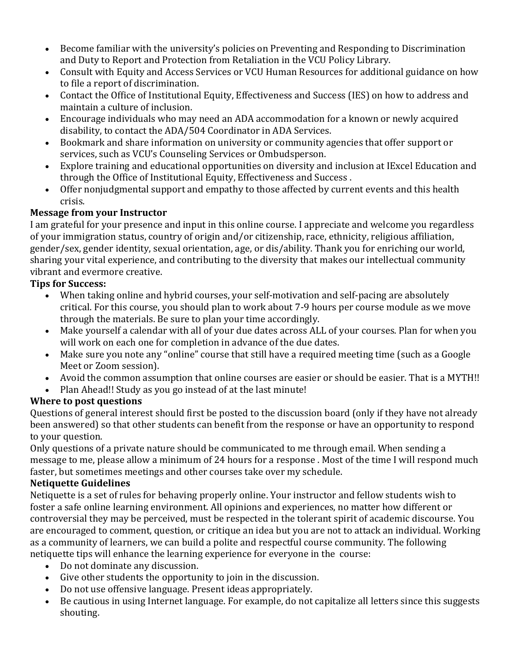- Become familiar with the university's policies on Preventing and Responding to Discrimination and Duty to Report and Protection from Retaliation in the VCU Policy Library.
- Consult with Equity and Access Services or VCU Human Resources for additional guidance on how to file a report of discrimination.
- Contact the Office of Institutional Equity, Effectiveness and Success (IES) on how to address and maintain a culture of inclusion.
- Encourage individuals who may need an ADA accommodation for a known or newly acquired disability, to contact the ADA/504 Coordinator in ADA Services.
- Bookmark and share information on university or community agencies that offer support or services, such as VCU's Counseling Services or Ombudsperson.
- Explore training and educational opportunities on diversity and inclusion at IExcel Education and through the Office of Institutional Equity, Effectiveness and Success.
- Offer nonjudgmental support and empathy to those affected by current events and this health crisis.

# **Message from your Instructor**

I am grateful for your presence and input in this online course. I appreciate and welcome you regardless of your immigration status, country of origin and/or citizenship, race, ethnicity, religious affiliation, gender/sex, gender identity, sexual orientation, age, or dis/ability. Thank you for enriching our world, sharing your vital experience, and contributing to the diversity that makes our intellectual community vibrant and evermore creative.

### **Tips for Success:**

- When taking online and hybrid courses, your self-motivation and self-pacing are absolutely critical. For this course, you should plan to work about 7-9 hours per course module as we move through the materials. Be sure to plan your time accordingly.
- Make yourself a calendar with all of your due dates across ALL of your courses. Plan for when you will work on each one for completion in advance of the due dates.
- Make sure you note any "online" course that still have a required meeting time (such as a Google Meet or Zoom session).
- Avoid the common assumption that online courses are easier or should be easier. That is a MYTH!!
- Plan Ahead!! Study as you go instead of at the last minute!

# **Where to post questions**

Questions of general interest should first be posted to the discussion board (only if they have not already been answered) so that other students can benefit from the response or have an opportunity to respond to your question.

Only questions of a private nature should be communicated to me through email. When sending a message to me, please allow a minimum of 24 hours for a response. Most of the time I will respond much faster, but sometimes meetings and other courses take over my schedule.

### **Netiquette Guidelines**

Netiquette is a set of rules for behaving properly online. Your instructor and fellow students wish to foster a safe online learning environment. All opinions and experiences, no matter how different or controversial they may be perceived, must be respected in the tolerant spirit of academic discourse. You are encouraged to comment, question, or critique an idea but you are not to attack an individual. Working as a community of learners, we can build a polite and respectful course community. The following netiquette tips will enhance the learning experience for everyone in the course:

- Do not dominate any discussion.
- Give other students the opportunity to join in the discussion.
- Do not use offensive language. Present ideas appropriately.
- Be cautious in using Internet language. For example, do not capitalize all letters since this suggests shouting.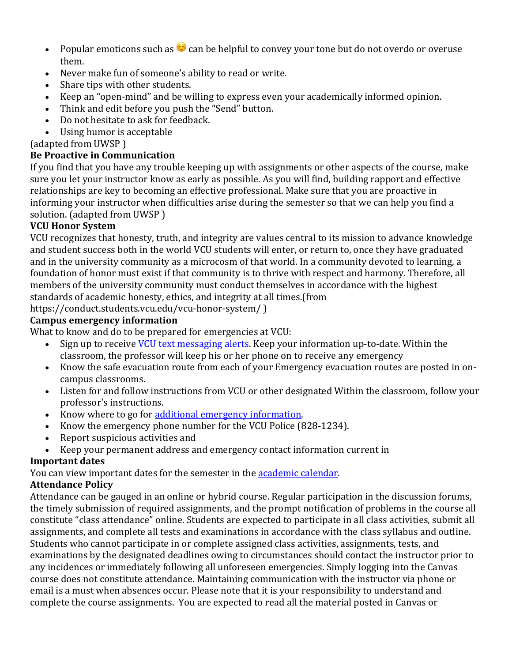- Popular emoticons such as  $\bigodot$  can be helpful to convey your tone but do not overdo or overuse them.
- Never make fun of someone's ability to read or write.
- Share tips with other students.
- Keep an "open-mind" and be willing to express even your academically informed opinion.
- Think and edit before you push the "Send" button.
- Do not hesitate to ask for feedback.
- Using humor is acceptable

(adapted from UWSP)

## **Be Proactive in Communication**

If you find that you have any trouble keeping up with assignments or other aspects of the course, make sure you let your instructor know as early as possible. As you will find, building rapport and effective relationships are key to becoming an effective professional. Make sure that you are proactive in informing your instructor when difficulties arise during the semester so that we can help you find a solution. (adapted from UWSP)

## **VCU Honor System**

VCU recognizes that honesty, truth, and integrity are values central to its mission to advance knowledge and student success both in the world VCU students will enter, or return to, once they have graduated and in the university community as a microcosm of that world. In a community devoted to learning, a foundation of honor must exist if that community is to thrive with respect and harmony. Therefore, all members of the university community must conduct themselves in accordance with the highest standards of academic honesty, ethics, and integrity at all times.(from

https://conduct.students.vcu.edu/vcu-honor-system/ )

## **Campus emergency information**

What to know and do to be prepared for emergencies at VCU:

- Sign up to receive VCU text messaging alerts. Keep your information up-to-date. Within the classroom, the professor will keep his or her phone on to receive any emergency
- Know the safe evacuation route from each of your Emergency evacuation routes are posted in oncampus classrooms.
- Listen for and follow instructions from VCU or other designated Within the classroom, follow your professor's instructions.
- Know where to go for additional emergency information.
- Know the emergency phone number for the VCU Police (828-1234).
- Report suspicious activities and
- Keep your permanent address and emergency contact information current in

# **Important dates**

You can view important dates for the semester in the **academic calendar**.

# **Attendance Policy**

Attendance can be gauged in an online or hybrid course. Regular participation in the discussion forums, the timely submission of required assignments, and the prompt notification of problems in the course all constitute "class attendance" online. Students are expected to participate in all class activities, submit all assignments, and complete all tests and examinations in accordance with the class syllabus and outline. Students who cannot participate in or complete assigned class activities, assignments, tests, and examinations by the designated deadlines owing to circumstances should contact the instructor prior to any incidences or immediately following all unforeseen emergencies. Simply logging into the Canvas course does not constitute attendance. Maintaining communication with the instructor via phone or email is a must when absences occur. Please note that it is your responsibility to understand and complete the course assignments. You are expected to read all the material posted in Canvas or